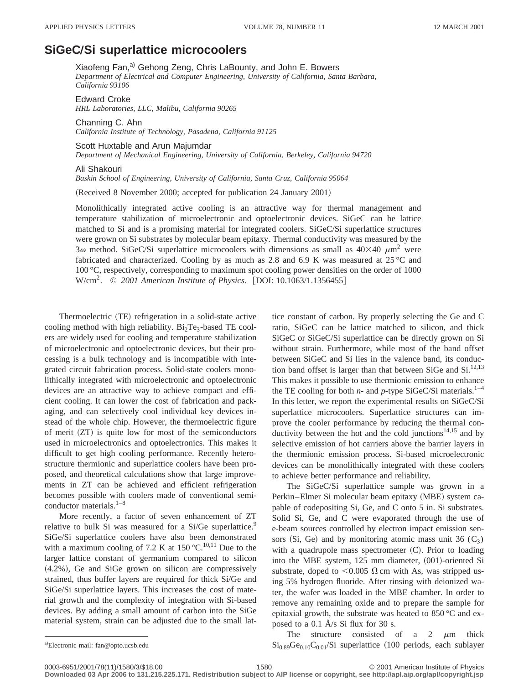## **SiGeCÕSi superlattice microcoolers**

Xiaofeng Fan,<sup>a)</sup> Gehong Zeng, Chris LaBounty, and John E. Bowers *Department of Electrical and Computer Engineering, University of California, Santa Barbara, California 93106*

Edward Croke *HRL Laboratories, LLC, Malibu, California 90265*

Channing C. Ahn *California Institute of Technology, Pasadena, California 91125*

Scott Huxtable and Arun Majumdar *Department of Mechanical Engineering, University of California, Berkeley, California 94720*

Ali Shakouri

*Baskin School of Engineering, University of California, Santa Cruz, California 95064*

(Received 8 November 2000; accepted for publication 24 January 2001)

Monolithically integrated active cooling is an attractive way for thermal management and temperature stabilization of microelectronic and optoelectronic devices. SiGeC can be lattice matched to Si and is a promising material for integrated coolers. SiGeC/Si superlattice structures were grown on Si substrates by molecular beam epitaxy. Thermal conductivity was measured by the  $3\omega$  method. SiGeC/Si superlattice microcoolers with dimensions as small as  $40\times40 \ \mu m^2$  were fabricated and characterized. Cooling by as much as 2.8 and 6.9 K was measured at  $25^{\circ}$ C and 100 °C, respectively, corresponding to maximum spot cooling power densities on the order of 1000 W/cm<sup>2</sup>. © 2001 American Institute of Physics. [DOI: 10.1063/1.1356455]

Thermoelectric (TE) refrigeration in a solid-state active cooling method with high reliability.  $Bi_2Te_3$ -based TE coolers are widely used for cooling and temperature stabilization of microelectronic and optoelectronic devices, but their processing is a bulk technology and is incompatible with integrated circuit fabrication process. Solid-state coolers monolithically integrated with microelectronic and optoelectronic devices are an attractive way to achieve compact and efficient cooling. It can lower the cost of fabrication and packaging, and can selectively cool individual key devices instead of the whole chip. However, the thermoelectric figure of merit  $(ZT)$  is quite low for most of the semiconductors used in microelectronics and optoelectronics. This makes it difficult to get high cooling performance. Recently heterostructure thermionic and superlattice coolers have been proposed, and theoretical calculations show that large improvements in ZT can be achieved and efficient refrigeration becomes possible with coolers made of conventional semiconductor materials. $1-8$ 

More recently, a factor of seven enhancement of ZT relative to bulk Si was measured for a Si/Ge superlattice.<sup>9</sup> SiGe/Si superlattice coolers have also been demonstrated with a maximum cooling of 7.2 K at  $150^{\circ}$ C.<sup>10,11</sup> Due to the larger lattice constant of germanium compared to silicon  $(4.2\%)$ , Ge and SiGe grown on silicon are compressively strained, thus buffer layers are required for thick Si/Ge and SiGe/Si superlattice layers. This increases the cost of material growth and the complexity of integration with Si-based devices. By adding a small amount of carbon into the SiGe material system, strain can be adjusted due to the small lattice constant of carbon. By properly selecting the Ge and C ratio, SiGeC can be lattice matched to silicon, and thick SiGeC or SiGeC/Si superlattice can be directly grown on Si without strain. Furthermore, while most of the band offset between SiGeC and Si lies in the valence band, its conduction band offset is larger than that between SiGe and Si.<sup>12,13</sup> This makes it possible to use thermionic emission to enhance the TE cooling for both  $n$ - and  $p$ -type SiGeC/Si materials.<sup>1-4</sup> In this letter, we report the experimental results on SiGeC/Si superlattice microcoolers. Superlattice structures can improve the cooler performance by reducing the thermal conductivity between the hot and the cold junctions $14,15$  and by selective emission of hot carriers above the barrier layers in the thermionic emission process. Si-based microelectronic devices can be monolithically integrated with these coolers to achieve better performance and reliability.

The SiGeC/Si superlattice sample was grown in a Perkin–Elmer Si molecular beam epitaxy (MBE) system capable of codepositing Si, Ge, and C onto 5 in. Si substrates. Solid Si, Ge, and C were evaporated through the use of e-beam sources controlled by electron impact emission sensors (Si, Ge) and by monitoring atomic mass unit 36  $(C_3)$ with a quadrupole mass spectrometer  $(C)$ . Prior to loading into the MBE system,  $125$  mm diameter,  $(001)$ -oriented Si substrate, doped to  $< 0.005$   $\Omega$  cm with As, was stripped using 5% hydrogen fluoride. After rinsing with deionized water, the wafer was loaded in the MBE chamber. In order to remove any remaining oxide and to prepare the sample for epitaxial growth, the substrate was heated to 850 °C and exposed to a 0.1 Å/s Si flux for 30 s.

The structure consisted of a 2  $\mu$ m thick  $\mathrm{Si}_{0.89}\mathrm{Ge}_{0.10}\mathrm{C}_{0.01}/\mathrm{Si}$  superlattice (100 periods, each sublayer

a)Electronic mail: fan@opto.ucsb.edu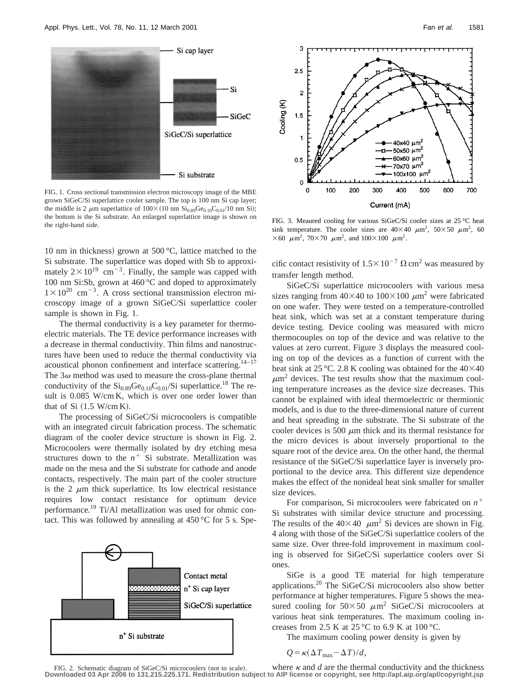

FIG. 1. Cross sectional transmission electron microscopy image of the MBE grown SiGeC/Si superlattice cooler sample. The top is 100 nm Si cap layer; the middle is 2  $\mu$ m superlattice of 100×(10 nm Si<sub>0.89</sub>Ge<sub>0.10</sub>C<sub>0.01</sub>/10 nm Si); the bottom is the Si substrate. An enlarged superlattice image is shown on the right-hand side.

10 nm in thickness) grown at 500 $\degree$ C, lattice matched to the Si substrate. The superlattice was doped with Sb to approximately  $2 \times 10^{19}$  cm<sup>-3</sup>. Finally, the sample was capped with 100 nm Si:Sb, grown at  $460^{\circ}$ C and doped to approximately  $1\times10^{20}$  cm<sup>-3</sup>. A cross sectional transmission electron microscopy image of a grown SiGeC/Si superlattice cooler sample is shown in Fig. 1.

The thermal conductivity is a key parameter for thermoelectric materials. The TE device performance increases with a decrease in thermal conductivity. Thin films and nanostructures have been used to reduce the thermal conductivity via acoustical phonon confinement and interface scattering.<sup>14-17</sup> The  $3\omega$  method was used to measure the cross-plane thermal conductivity of the  $Si<sub>0.89</sub>Ge<sub>0.10</sub>C<sub>0.01</sub>/Si superalattice.<sup>18</sup> The re$ sult is 0.085 W/cm K, which is over one order lower than that of Si  $(1.5 \text{ W/cm K})$ .

The processing of SiGeC/Si microcoolers is compatible with an integrated circuit fabrication process. The schematic diagram of the cooler device structure is shown in Fig. 2. Microcoolers were thermally isolated by dry etching mesa structures down to the  $n^+$  Si substrate. Metallization was made on the mesa and the Si substrate for cathode and anode contacts, respectively. The main part of the cooler structure is the 2  $\mu$ m thick superlattice. Its low electrical resistance requires low contact resistance for optimum device performance.19 Ti/Al metallization was used for ohmic contact. This was followed by annealing at  $450^{\circ}$ C for 5 s. Spe-





FIG. 3. Meaured cooling for various SiGeC/Si cooler sizes at 25 °C heat sink temperature. The cooler sizes are  $40\times40 \mu m^2$ ,  $50\times50 \mu m^2$ , 60  $\times$  60  $\mu$ m<sup>2</sup>, 70 $\times$  70  $\mu$ m<sup>2</sup>, and 100 $\times$  100  $\mu$ m<sup>2</sup>.

cific contact resistivity of  $1.5 \times 10^{-7} \Omega \text{ cm}^2$  was measured by transfer length method.

SiGeC/Si superlattice microcoolers with various mesa sizes ranging from  $40\times40$  to  $100\times100 \ \mu m^2$  were fabricated on one wafer. They were tested on a temperature-controlled heat sink, which was set at a constant temperature during device testing. Device cooling was measured with micro thermocouples on top of the device and was relative to the values at zero current. Figure 3 displays the measured cooling on top of the devices as a function of current with the heat sink at 25 °C. 2.8 K cooling was obtained for the  $40\times40$  $\mu$ m<sup>2</sup> devices. The test results show that the maximum cooling temperature increases as the device size decreases. This cannot be explained with ideal thermoelectric or thermionic models, and is due to the three-dimensional nature of current and heat spreading in the substrate. The Si substrate of the cooler devices is 500  $\mu$ m thick and its thermal resistance for the micro devices is about inversely proportional to the square root of the device area. On the other hand, the thermal resistance of the SiGeC/Si superlattice layer is inversely proportional to the device area. This different size dependence makes the effect of the nonideal heat sink smaller for smaller size devices.

For comparison, Si microcoolers were fabricated on  $n^+$ Si substrates with similar device structure and processing. The results of the  $40\times40$   $\mu$ m<sup>2</sup> Si devices are shown in Fig. 4 along with those of the SiGeC/Si superlattice coolers of the same size. Over three-fold improvement in maximum cooling is observed for SiGeC/Si superlattice coolers over Si ones.

SiGe is a good TE material for high temperature applications.20 The SiGeC/Si microcoolers also show better performance at higher temperatures. Figure 5 shows the measured cooling for  $50\times50 \mu m^2$  SiGeC/Si microcoolers at various heat sink temperatures. The maximum cooling increases from 2.5 K at 25 °C to 6.9 K at 100 °C.

The maximum cooling power density is given by

$$
Q = \kappa (\Delta T_{\text{max}} - \Delta T) / d,
$$

where  $\kappa$  and  $d$  are the thermal conductivity and the thickness FIG. 2. Schematic diagram of SiGeC/Si microcoolers (not to scale). **Downloaded 03 Apr 2006 to 131.215.225.171. Redistribution subject to AIP license or copyright, see http://apl.aip.org/apl/copyright.jsp**